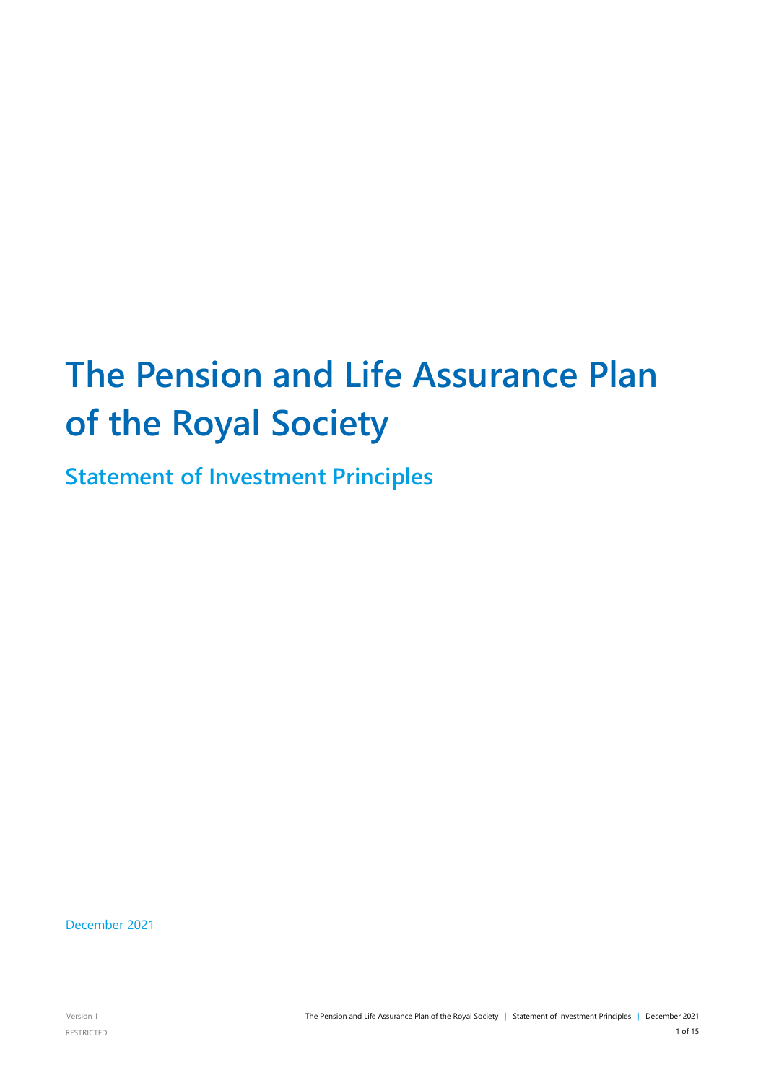# **The Pension and Life Assurance Plan of the Royal Society**

**Statement of Investment Principles**

December 2021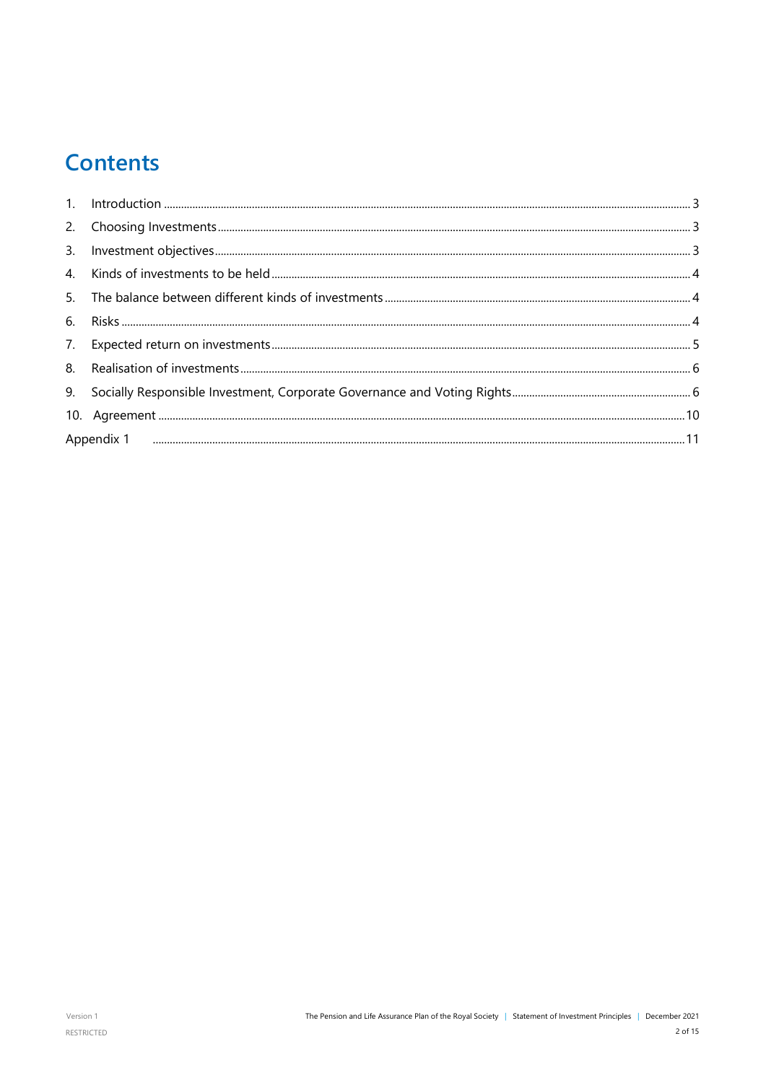# **Contents**

| Appendix 1 ипповденности политической политической политической политической политической политической политич |  |  |  |
|----------------------------------------------------------------------------------------------------------------|--|--|--|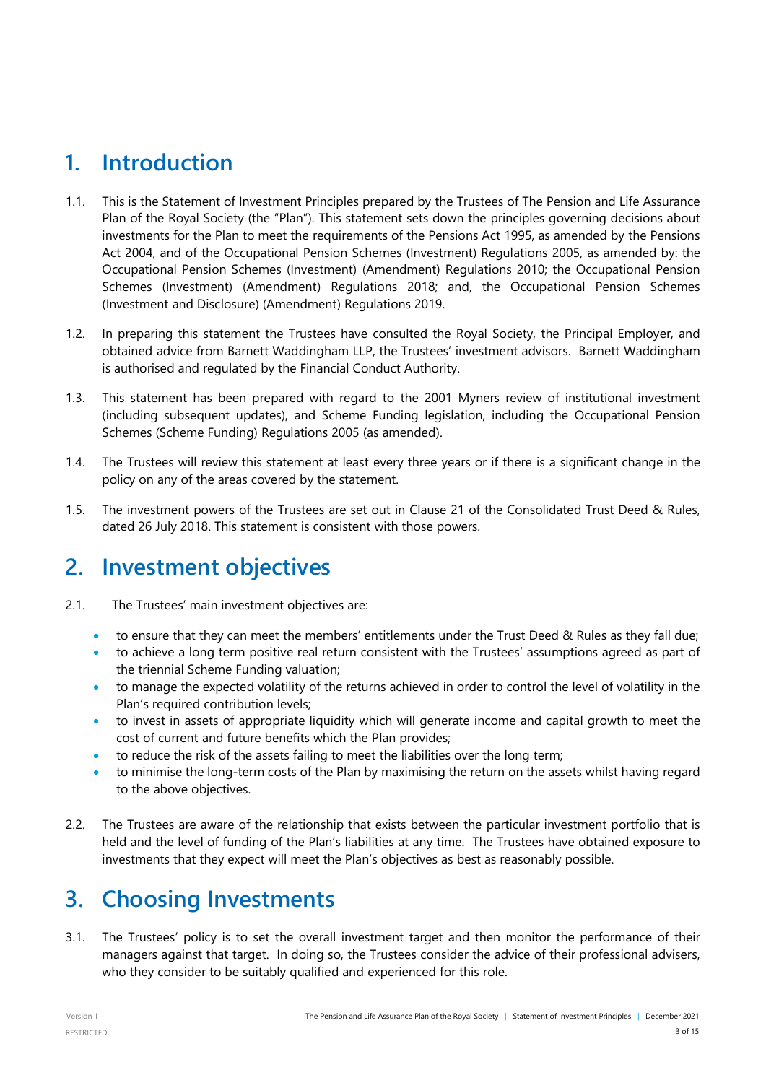### <span id="page-2-0"></span>**1. Introduction**

- 1.1. This is the Statement of Investment Principles prepared by the Trustees of The Pension and Life Assurance Plan of the Royal Society (the "Plan"). This statement sets down the principles governing decisions about investments for the Plan to meet the requirements of the Pensions Act 1995, as amended by the Pensions Act 2004, and of the Occupational Pension Schemes (Investment) Regulations 2005, as amended by: the Occupational Pension Schemes (Investment) (Amendment) Regulations 2010; the Occupational Pension Schemes (Investment) (Amendment) Regulations 2018; and, the Occupational Pension Schemes (Investment and Disclosure) (Amendment) Regulations 2019.
- 1.2. In preparing this statement the Trustees have consulted the Royal Society, the Principal Employer, and obtained advice from Barnett Waddingham LLP, the Trustees' investment advisors. Barnett Waddingham is authorised and regulated by the Financial Conduct Authority.
- 1.3. This statement has been prepared with regard to the 2001 Myners review of institutional investment (including subsequent updates), and Scheme Funding legislation, including the Occupational Pension Schemes (Scheme Funding) Regulations 2005 (as amended).
- 1.4. The Trustees will review this statement at least every three years or if there is a significant change in the policy on any of the areas covered by the statement.
- 1.5. The investment powers of the Trustees are set out in Clause 21 of the Consolidated Trust Deed & Rules, dated 26 July 2018. This statement is consistent with those powers.

### <span id="page-2-1"></span>**2. Investment objectives**

- 2.1. The Trustees' main investment objectives are:
	- to ensure that they can meet the members' entitlements under the Trust Deed & Rules as they fall due;
	- to achieve a long term positive real return consistent with the Trustees' assumptions agreed as part of the triennial Scheme Funding valuation;
	- to manage the expected volatility of the returns achieved in order to control the level of volatility in the Plan's required contribution levels;
	- to invest in assets of appropriate liquidity which will generate income and capital growth to meet the cost of current and future benefits which the Plan provides;
	- to reduce the risk of the assets failing to meet the liabilities over the long term;
	- to minimise the long-term costs of the Plan by maximising the return on the assets whilst having regard to the above objectives.
- 2.2. The Trustees are aware of the relationship that exists between the particular investment portfolio that is held and the level of funding of the Plan's liabilities at any time. The Trustees have obtained exposure to investments that they expect will meet the Plan's objectives as best as reasonably possible.

# **3. Choosing Investments**

3.1. The Trustees' policy is to set the overall investment target and then monitor the performance of their managers against that target. In doing so, the Trustees consider the advice of their professional advisers, who they consider to be suitably qualified and experienced for this role.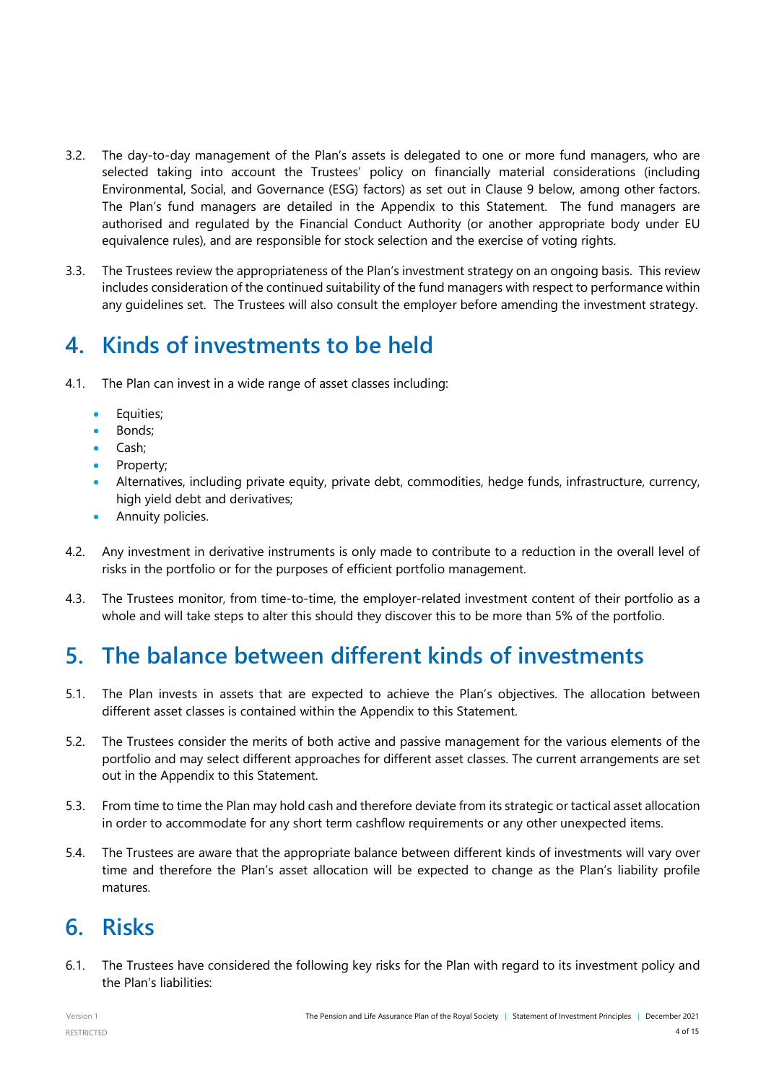- 3.2. The day-to-day management of the Plan's assets is delegated to one or more fund managers, who are selected taking into account the Trustees' policy on financially material considerations (including Environmental, Social, and Governance (ESG) factors) as set out in Clause 9 below, among other factors. The Plan's fund managers are detailed in the Appendix to this Statement. The fund managers are authorised and regulated by the Financial Conduct Authority (or another appropriate body under EU equivalence rules), and are responsible for stock selection and the exercise of voting rights.
- 3.3. The Trustees review the appropriateness of the Plan's investment strategy on an ongoing basis. This review includes consideration of the continued suitability of the fund managers with respect to performance within any guidelines set. The Trustees will also consult the employer before amending the investment strategy.

### <span id="page-3-0"></span>**4. Kinds of investments to be held**

- 4.1. The Plan can invest in a wide range of asset classes including:
	- Equities;
	- Bonds;
	- Cash;
	- Property;
	- Alternatives, including private equity, private debt, commodities, hedge funds, infrastructure, currency, high yield debt and derivatives;
	- Annuity policies.
- 4.2. Any investment in derivative instruments is only made to contribute to a reduction in the overall level of risks in the portfolio or for the purposes of efficient portfolio management.
- 4.3. The Trustees monitor, from time-to-time, the employer-related investment content of their portfolio as a whole and will take steps to alter this should they discover this to be more than 5% of the portfolio.

# <span id="page-3-1"></span>**5. The balance between different kinds of investments**

- 5.1. The Plan invests in assets that are expected to achieve the Plan's objectives. The allocation between different asset classes is contained within the Appendix to this Statement.
- 5.2. The Trustees consider the merits of both active and passive management for the various elements of the portfolio and may select different approaches for different asset classes. The current arrangements are set out in the Appendix to this Statement.
- 5.3. From time to time the Plan may hold cash and therefore deviate from its strategic or tactical asset allocation in order to accommodate for any short term cashflow requirements or any other unexpected items.
- 5.4. The Trustees are aware that the appropriate balance between different kinds of investments will vary over time and therefore the Plan's asset allocation will be expected to change as the Plan's liability profile matures.

### <span id="page-3-2"></span>**6. Risks**

6.1. The Trustees have considered the following key risks for the Plan with regard to its investment policy and the Plan's liabilities: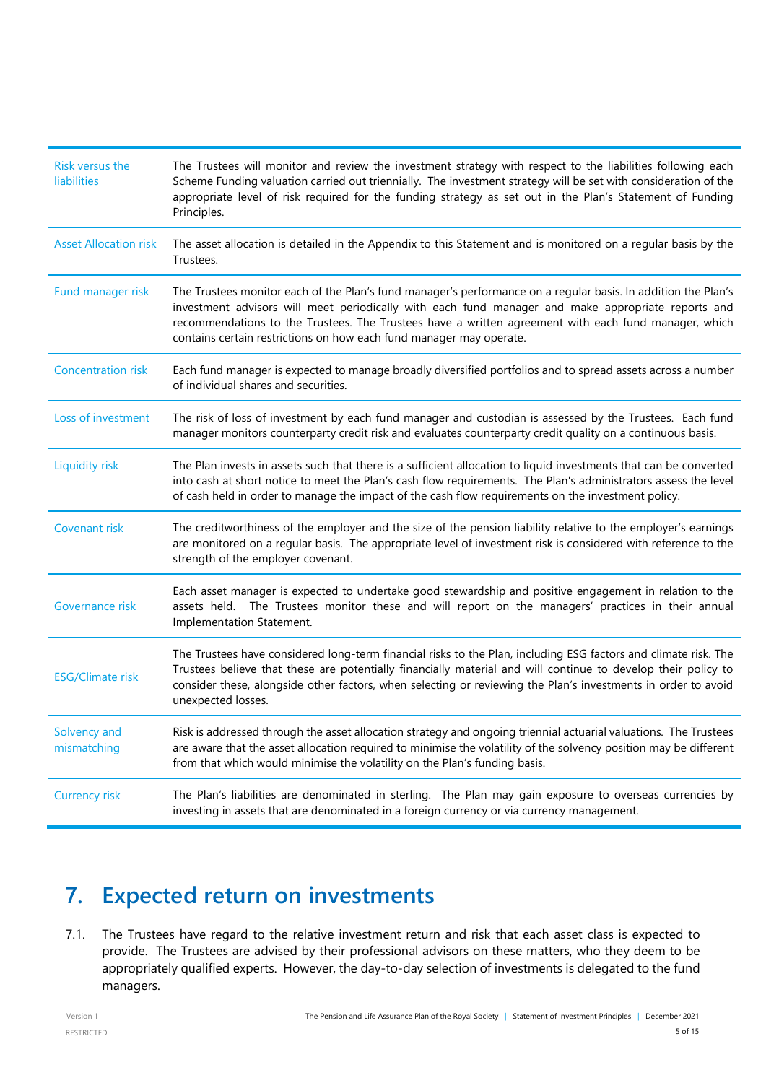| <b>Risk versus the</b><br><b>liabilities</b> | The Trustees will monitor and review the investment strategy with respect to the liabilities following each<br>Scheme Funding valuation carried out triennially. The investment strategy will be set with consideration of the<br>appropriate level of risk required for the funding strategy as set out in the Plan's Statement of Funding<br>Principles.                                         |
|----------------------------------------------|----------------------------------------------------------------------------------------------------------------------------------------------------------------------------------------------------------------------------------------------------------------------------------------------------------------------------------------------------------------------------------------------------|
| <b>Asset Allocation risk</b>                 | The asset allocation is detailed in the Appendix to this Statement and is monitored on a regular basis by the<br>Trustees.                                                                                                                                                                                                                                                                         |
| Fund manager risk                            | The Trustees monitor each of the Plan's fund manager's performance on a regular basis. In addition the Plan's<br>investment advisors will meet periodically with each fund manager and make appropriate reports and<br>recommendations to the Trustees. The Trustees have a written agreement with each fund manager, which<br>contains certain restrictions on how each fund manager may operate. |
| <b>Concentration risk</b>                    | Each fund manager is expected to manage broadly diversified portfolios and to spread assets across a number<br>of individual shares and securities.                                                                                                                                                                                                                                                |
| Loss of investment                           | The risk of loss of investment by each fund manager and custodian is assessed by the Trustees. Each fund<br>manager monitors counterparty credit risk and evaluates counterparty credit quality on a continuous basis.                                                                                                                                                                             |
| <b>Liquidity risk</b>                        | The Plan invests in assets such that there is a sufficient allocation to liquid investments that can be converted<br>into cash at short notice to meet the Plan's cash flow requirements. The Plan's administrators assess the level<br>of cash held in order to manage the impact of the cash flow requirements on the investment policy.                                                         |
| <b>Covenant risk</b>                         | The creditworthiness of the employer and the size of the pension liability relative to the employer's earnings<br>are monitored on a regular basis. The appropriate level of investment risk is considered with reference to the<br>strength of the employer covenant.                                                                                                                             |
| Governance risk                              | Each asset manager is expected to undertake good stewardship and positive engagement in relation to the<br>assets held. The Trustees monitor these and will report on the managers' practices in their annual<br>Implementation Statement.                                                                                                                                                         |
| <b>ESG/Climate risk</b>                      | The Trustees have considered long-term financial risks to the Plan, including ESG factors and climate risk. The<br>Trustees believe that these are potentially financially material and will continue to develop their policy to<br>consider these, alongside other factors, when selecting or reviewing the Plan's investments in order to avoid<br>unexpected losses.                            |
| Solvency and<br>mismatching                  | Risk is addressed through the asset allocation strategy and ongoing triennial actuarial valuations. The Trustees<br>are aware that the asset allocation required to minimise the volatility of the solvency position may be different<br>from that which would minimise the volatility on the Plan's funding basis.                                                                                |
| <b>Currency risk</b>                         | The Plan's liabilities are denominated in sterling. The Plan may gain exposure to overseas currencies by<br>investing in assets that are denominated in a foreign currency or via currency management.                                                                                                                                                                                             |

# <span id="page-4-0"></span>**7. Expected return on investments**

7.1. The Trustees have regard to the relative investment return and risk that each asset class is expected to provide. The Trustees are advised by their professional advisors on these matters, who they deem to be appropriately qualified experts. However, the day-to-day selection of investments is delegated to the fund managers.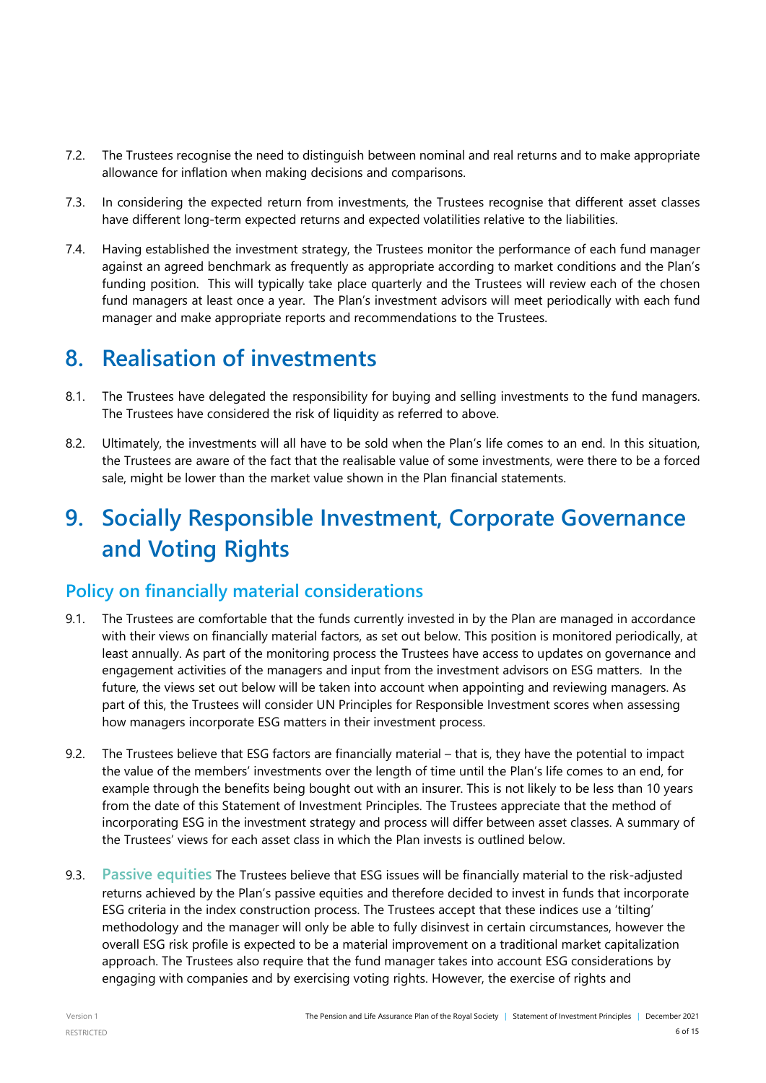- 7.2. The Trustees recognise the need to distinguish between nominal and real returns and to make appropriate allowance for inflation when making decisions and comparisons.
- 7.3. In considering the expected return from investments, the Trustees recognise that different asset classes have different long-term expected returns and expected volatilities relative to the liabilities.
- 7.4. Having established the investment strategy, the Trustees monitor the performance of each fund manager against an agreed benchmark as frequently as appropriate according to market conditions and the Plan's funding position. This will typically take place quarterly and the Trustees will review each of the chosen fund managers at least once a year. The Plan's investment advisors will meet periodically with each fund manager and make appropriate reports and recommendations to the Trustees.

### <span id="page-5-0"></span>**8. Realisation of investments**

- 8.1. The Trustees have delegated the responsibility for buying and selling investments to the fund managers. The Trustees have considered the risk of liquidity as referred to above.
- 8.2. Ultimately, the investments will all have to be sold when the Plan's life comes to an end. In this situation, the Trustees are aware of the fact that the realisable value of some investments, were there to be a forced sale, might be lower than the market value shown in the Plan financial statements.

# <span id="page-5-1"></span>**9. Socially Responsible Investment, Corporate Governance and Voting Rights**

#### **Policy on financially material considerations**

- 9.1. The Trustees are comfortable that the funds currently invested in by the Plan are managed in accordance with their views on financially material factors, as set out below. This position is monitored periodically, at least annually. As part of the monitoring process the Trustees have access to updates on governance and engagement activities of the managers and input from the investment advisors on ESG matters. In the future, the views set out below will be taken into account when appointing and reviewing managers. As part of this, the Trustees will consider UN Principles for Responsible Investment scores when assessing how managers incorporate ESG matters in their investment process.
- 9.2. The Trustees believe that ESG factors are financially material that is, they have the potential to impact the value of the members' investments over the length of time until the Plan's life comes to an end, for example through the benefits being bought out with an insurer. This is not likely to be less than 10 years from the date of this Statement of Investment Principles. The Trustees appreciate that the method of incorporating ESG in the investment strategy and process will differ between asset classes. A summary of the Trustees' views for each asset class in which the Plan invests is outlined below.
- 9.3. **Passive equities** The Trustees believe that ESG issues will be financially material to the risk-adjusted returns achieved by the Plan's passive equities and therefore decided to invest in funds that incorporate ESG criteria in the index construction process. The Trustees accept that these indices use a 'tilting' methodology and the manager will only be able to fully disinvest in certain circumstances, however the overall ESG risk profile is expected to be a material improvement on a traditional market capitalization approach. The Trustees also require that the fund manager takes into account ESG considerations by engaging with companies and by exercising voting rights. However, the exercise of rights and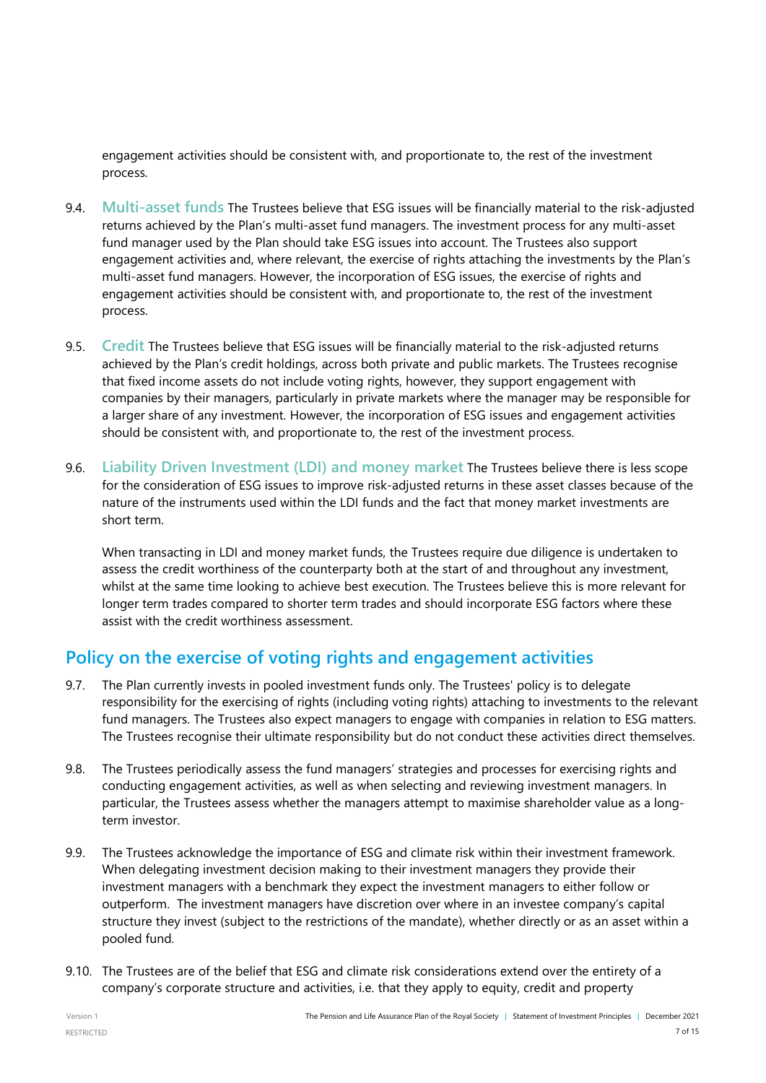engagement activities should be consistent with, and proportionate to, the rest of the investment process.

- 9.4. **Multi-asset funds** The Trustees believe that ESG issues will be financially material to the risk-adjusted returns achieved by the Plan's multi-asset fund managers. The investment process for any multi-asset fund manager used by the Plan should take ESG issues into account. The Trustees also support engagement activities and, where relevant, the exercise of rights attaching the investments by the Plan's multi-asset fund managers. However, the incorporation of ESG issues, the exercise of rights and engagement activities should be consistent with, and proportionate to, the rest of the investment process.
- 9.5. **Credit** The Trustees believe that ESG issues will be financially material to the risk-adjusted returns achieved by the Plan's credit holdings, across both private and public markets. The Trustees recognise that fixed income assets do not include voting rights, however, they support engagement with companies by their managers, particularly in private markets where the manager may be responsible for a larger share of any investment. However, the incorporation of ESG issues and engagement activities should be consistent with, and proportionate to, the rest of the investment process.
- 9.6. **Liability Driven Investment (LDI) and money market** The Trustees believe there is less scope for the consideration of ESG issues to improve risk-adjusted returns in these asset classes because of the nature of the instruments used within the LDI funds and the fact that money market investments are short term.

When transacting in LDI and money market funds, the Trustees require due diligence is undertaken to assess the credit worthiness of the counterparty both at the start of and throughout any investment, whilst at the same time looking to achieve best execution. The Trustees believe this is more relevant for longer term trades compared to shorter term trades and should incorporate ESG factors where these assist with the credit worthiness assessment.

### **Policy on the exercise of voting rights and engagement activities**

- 9.7. The Plan currently invests in pooled investment funds only. The Trustees' policy is to delegate responsibility for the exercising of rights (including voting rights) attaching to investments to the relevant fund managers. The Trustees also expect managers to engage with companies in relation to ESG matters. The Trustees recognise their ultimate responsibility but do not conduct these activities direct themselves.
- 9.8. The Trustees periodically assess the fund managers' strategies and processes for exercising rights and conducting engagement activities, as well as when selecting and reviewing investment managers. In particular, the Trustees assess whether the managers attempt to maximise shareholder value as a longterm investor.
- 9.9. The Trustees acknowledge the importance of ESG and climate risk within their investment framework. When delegating investment decision making to their investment managers they provide their investment managers with a benchmark they expect the investment managers to either follow or outperform. The investment managers have discretion over where in an investee company's capital structure they invest (subject to the restrictions of the mandate), whether directly or as an asset within a pooled fund.
- 9.10. The Trustees are of the belief that ESG and climate risk considerations extend over the entirety of a company's corporate structure and activities, i.e. that they apply to equity, credit and property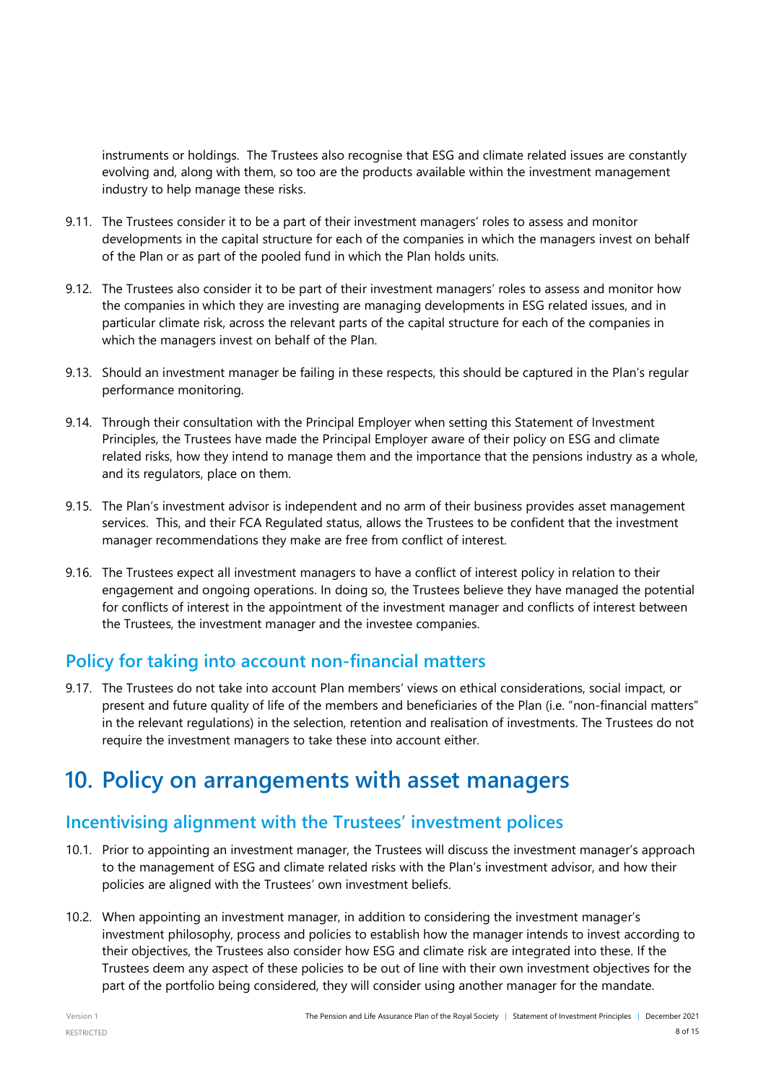instruments or holdings. The Trustees also recognise that ESG and climate related issues are constantly evolving and, along with them, so too are the products available within the investment management industry to help manage these risks.

- 9.11. The Trustees consider it to be a part of their investment managers' roles to assess and monitor developments in the capital structure for each of the companies in which the managers invest on behalf of the Plan or as part of the pooled fund in which the Plan holds units.
- 9.12. The Trustees also consider it to be part of their investment managers' roles to assess and monitor how the companies in which they are investing are managing developments in ESG related issues, and in particular climate risk, across the relevant parts of the capital structure for each of the companies in which the managers invest on behalf of the Plan.
- 9.13. Should an investment manager be failing in these respects, this should be captured in the Plan's regular performance monitoring.
- 9.14. Through their consultation with the Principal Employer when setting this Statement of Investment Principles, the Trustees have made the Principal Employer aware of their policy on ESG and climate related risks, how they intend to manage them and the importance that the pensions industry as a whole, and its regulators, place on them.
- 9.15. The Plan's investment advisor is independent and no arm of their business provides asset management services. This, and their FCA Regulated status, allows the Trustees to be confident that the investment manager recommendations they make are free from conflict of interest.
- 9.16. The Trustees expect all investment managers to have a conflict of interest policy in relation to their engagement and ongoing operations. In doing so, the Trustees believe they have managed the potential for conflicts of interest in the appointment of the investment manager and conflicts of interest between the Trustees, the investment manager and the investee companies.

#### **Policy for taking into account non-financial matters**

9.17. The Trustees do not take into account Plan members' views on ethical considerations, social impact, or present and future quality of life of the members and beneficiaries of the Plan (i.e. "non-financial matters" in the relevant regulations) in the selection, retention and realisation of investments. The Trustees do not require the investment managers to take these into account either.

### **10. Policy on arrangements with asset managers**

### **Incentivising alignment with the Trustees' investment polices**

- 10.1. Prior to appointing an investment manager, the Trustees will discuss the investment manager's approach to the management of ESG and climate related risks with the Plan's investment advisor, and how their policies are aligned with the Trustees' own investment beliefs.
- 10.2. When appointing an investment manager, in addition to considering the investment manager's investment philosophy, process and policies to establish how the manager intends to invest according to their objectives, the Trustees also consider how ESG and climate risk are integrated into these. If the Trustees deem any aspect of these policies to be out of line with their own investment objectives for the part of the portfolio being considered, they will consider using another manager for the mandate.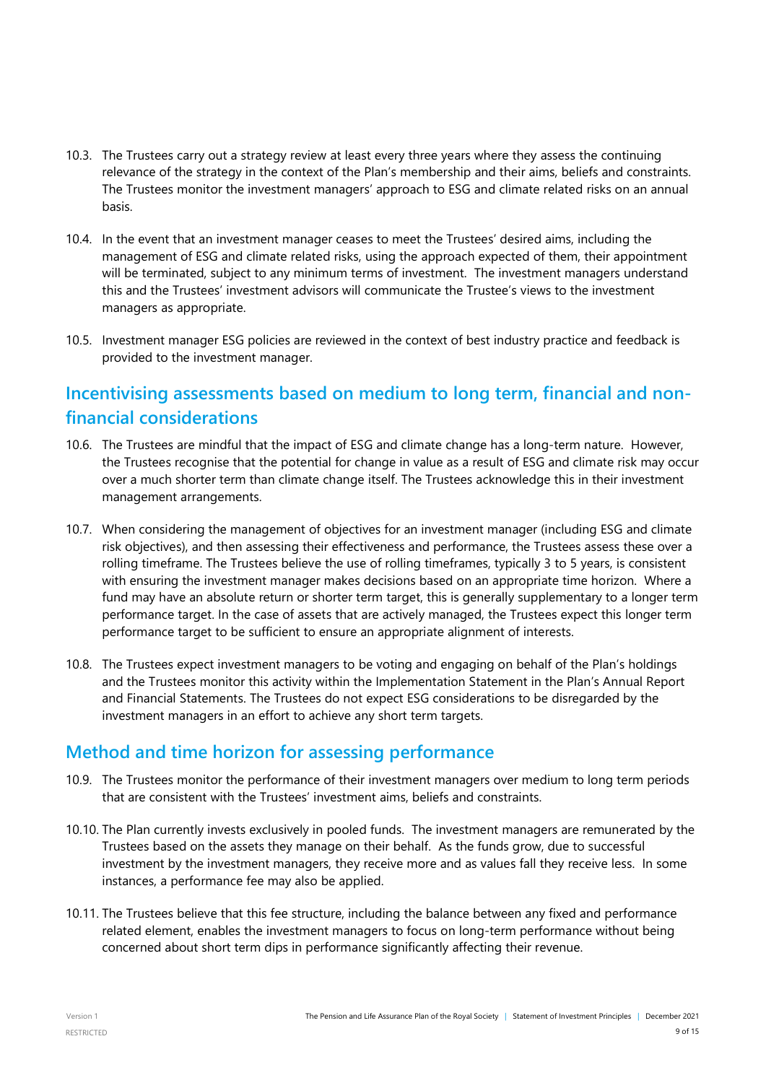- 10.3. The Trustees carry out a strategy review at least every three years where they assess the continuing relevance of the strategy in the context of the Plan's membership and their aims, beliefs and constraints. The Trustees monitor the investment managers' approach to ESG and climate related risks on an annual basis.
- 10.4. In the event that an investment manager ceases to meet the Trustees' desired aims, including the management of ESG and climate related risks, using the approach expected of them, their appointment will be terminated, subject to any minimum terms of investment. The investment managers understand this and the Trustees' investment advisors will communicate the Trustee's views to the investment managers as appropriate.
- 10.5. Investment manager ESG policies are reviewed in the context of best industry practice and feedback is provided to the investment manager.

### **Incentivising assessments based on medium to long term, financial and nonfinancial considerations**

- 10.6. The Trustees are mindful that the impact of ESG and climate change has a long-term nature. However, the Trustees recognise that the potential for change in value as a result of ESG and climate risk may occur over a much shorter term than climate change itself. The Trustees acknowledge this in their investment management arrangements.
- 10.7. When considering the management of objectives for an investment manager (including ESG and climate risk objectives), and then assessing their effectiveness and performance, the Trustees assess these over a rolling timeframe. The Trustees believe the use of rolling timeframes, typically 3 to 5 years, is consistent with ensuring the investment manager makes decisions based on an appropriate time horizon. Where a fund may have an absolute return or shorter term target, this is generally supplementary to a longer term performance target. In the case of assets that are actively managed, the Trustees expect this longer term performance target to be sufficient to ensure an appropriate alignment of interests.
- 10.8. The Trustees expect investment managers to be voting and engaging on behalf of the Plan's holdings and the Trustees monitor this activity within the Implementation Statement in the Plan's Annual Report and Financial Statements. The Trustees do not expect ESG considerations to be disregarded by the investment managers in an effort to achieve any short term targets.

#### **Method and time horizon for assessing performance**

- 10.9. The Trustees monitor the performance of their investment managers over medium to long term periods that are consistent with the Trustees' investment aims, beliefs and constraints.
- 10.10. The Plan currently invests exclusively in pooled funds. The investment managers are remunerated by the Trustees based on the assets they manage on their behalf. As the funds grow, due to successful investment by the investment managers, they receive more and as values fall they receive less. In some instances, a performance fee may also be applied.
- 10.11. The Trustees believe that this fee structure, including the balance between any fixed and performance related element, enables the investment managers to focus on long-term performance without being concerned about short term dips in performance significantly affecting their revenue.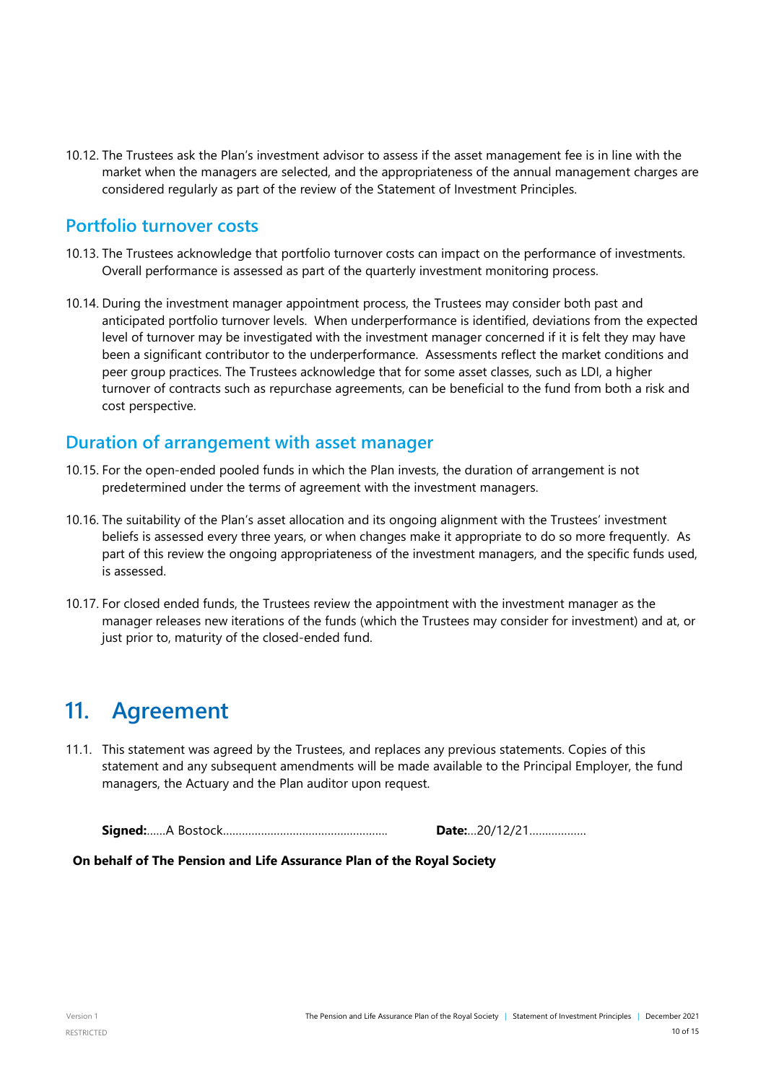10.12. The Trustees ask the Plan's investment advisor to assess if the asset management fee is in line with the market when the managers are selected, and the appropriateness of the annual management charges are considered regularly as part of the review of the Statement of Investment Principles.

#### **Portfolio turnover costs**

- 10.13. The Trustees acknowledge that portfolio turnover costs can impact on the performance of investments. Overall performance is assessed as part of the quarterly investment monitoring process.
- 10.14. During the investment manager appointment process, the Trustees may consider both past and anticipated portfolio turnover levels. When underperformance is identified, deviations from the expected level of turnover may be investigated with the investment manager concerned if it is felt they may have been a significant contributor to the underperformance. Assessments reflect the market conditions and peer group practices. The Trustees acknowledge that for some asset classes, such as LDI, a higher turnover of contracts such as repurchase agreements, can be beneficial to the fund from both a risk and cost perspective.

#### **Duration of arrangement with asset manager**

- 10.15. For the open-ended pooled funds in which the Plan invests, the duration of arrangement is not predetermined under the terms of agreement with the investment managers.
- 10.16. The suitability of the Plan's asset allocation and its ongoing alignment with the Trustees' investment beliefs is assessed every three years, or when changes make it appropriate to do so more frequently. As part of this review the ongoing appropriateness of the investment managers, and the specific funds used, is assessed.
- 10.17. For closed ended funds, the Trustees review the appointment with the investment manager as the manager releases new iterations of the funds (which the Trustees may consider for investment) and at, or just prior to, maturity of the closed-ended fund.

### <span id="page-9-0"></span>**11. Agreement**

11.1. This statement was agreed by the Trustees, and replaces any previous statements. Copies of this statement and any subsequent amendments will be made available to the Principal Employer, the fund managers, the Actuary and the Plan auditor upon request.

**Signed:**……A Bostock……………………………………………. **Date:**…20/12/21………………

 **On behalf of The Pension and Life Assurance Plan of the Royal Society**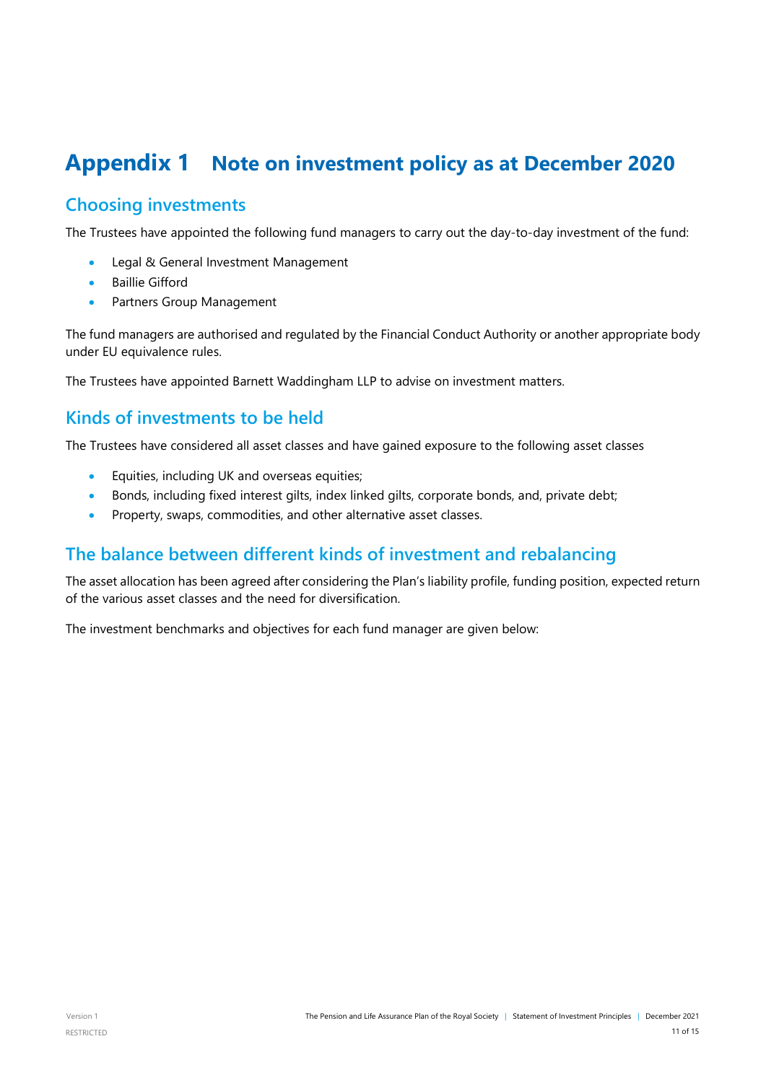### <span id="page-10-0"></span>**Appendix 1 Note on investment policy as at December 2020**

#### **Choosing investments**

The Trustees have appointed the following fund managers to carry out the day-to-day investment of the fund:

- Legal & General Investment Management
- Baillie Gifford
- Partners Group Management

The fund managers are authorised and regulated by the Financial Conduct Authority or another appropriate body under EU equivalence rules.

The Trustees have appointed Barnett Waddingham LLP to advise on investment matters.

#### **Kinds of investments to be held**

The Trustees have considered all asset classes and have gained exposure to the following asset classes

- Equities, including UK and overseas equities;
- Bonds, including fixed interest gilts, index linked gilts, corporate bonds, and, private debt;
- Property, swaps, commodities, and other alternative asset classes.

#### **The balance between different kinds of investment and rebalancing**

The asset allocation has been agreed after considering the Plan's liability profile, funding position, expected return of the various asset classes and the need for diversification.

The investment benchmarks and objectives for each fund manager are given below: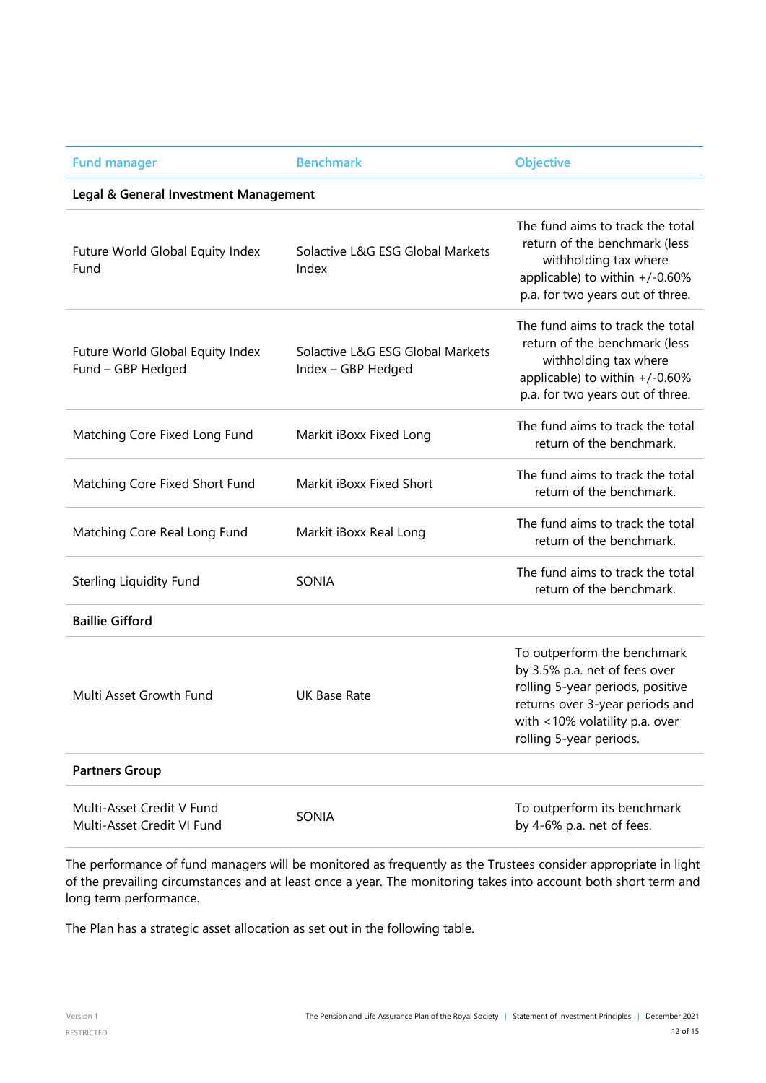| <b>Fund manager</b>                                     | <b>Benchmark</b>                                       | <b>Objective</b>                                                                                                                                                                                 |  |  |  |  |  |
|---------------------------------------------------------|--------------------------------------------------------|--------------------------------------------------------------------------------------------------------------------------------------------------------------------------------------------------|--|--|--|--|--|
| Legal & General Investment Management                   |                                                        |                                                                                                                                                                                                  |  |  |  |  |  |
| Future World Global Equity Index<br>Fund                | Solactive L&G ESG Global Markets<br>Index              | The fund aims to track the total<br>return of the benchmark (less<br>withholding tax where<br>applicable) to within +/-0.60%<br>p.a. for two years out of three.                                 |  |  |  |  |  |
| Future World Global Equity Index<br>Fund - GBP Hedged   | Solactive L&G ESG Global Markets<br>Index - GBP Hedged | The fund aims to track the total<br>return of the benchmark (less<br>withholding tax where<br>applicable) to within +/-0.60%<br>p.a. for two years out of three.                                 |  |  |  |  |  |
| Matching Core Fixed Long Fund                           | Markit iBoxx Fixed Long                                | The fund aims to track the total<br>return of the benchmark.                                                                                                                                     |  |  |  |  |  |
| Matching Core Fixed Short Fund                          | Markit iBoxx Fixed Short                               | The fund aims to track the total<br>return of the benchmark.                                                                                                                                     |  |  |  |  |  |
| Matching Core Real Long Fund                            | Markit iBoxx Real Long                                 | The fund aims to track the total<br>return of the benchmark.                                                                                                                                     |  |  |  |  |  |
| <b>Sterling Liquidity Fund</b>                          | SONIA                                                  | The fund aims to track the total<br>return of the benchmark.                                                                                                                                     |  |  |  |  |  |
| <b>Baillie Gifford</b>                                  |                                                        |                                                                                                                                                                                                  |  |  |  |  |  |
| Multi Asset Growth Fund                                 | <b>UK Base Rate</b>                                    | To outperform the benchmark<br>by 3.5% p.a. net of fees over<br>rolling 5-year periods, positive<br>returns over 3-year periods and<br>with <10% volatility p.a. over<br>rolling 5-year periods. |  |  |  |  |  |
| <b>Partners Group</b>                                   |                                                        |                                                                                                                                                                                                  |  |  |  |  |  |
| Multi-Asset Credit V Fund<br>Multi-Asset Credit VI Fund | SONIA                                                  | To outperform its benchmark<br>by 4-6% p.a. net of fees.                                                                                                                                         |  |  |  |  |  |

The performance of fund managers will be monitored as frequently as the Trustees consider appropriate in light of the prevailing circumstances and at least once a year. The monitoring takes into account both short term and long term performance.

The Plan has a strategic asset allocation as set out in the following table.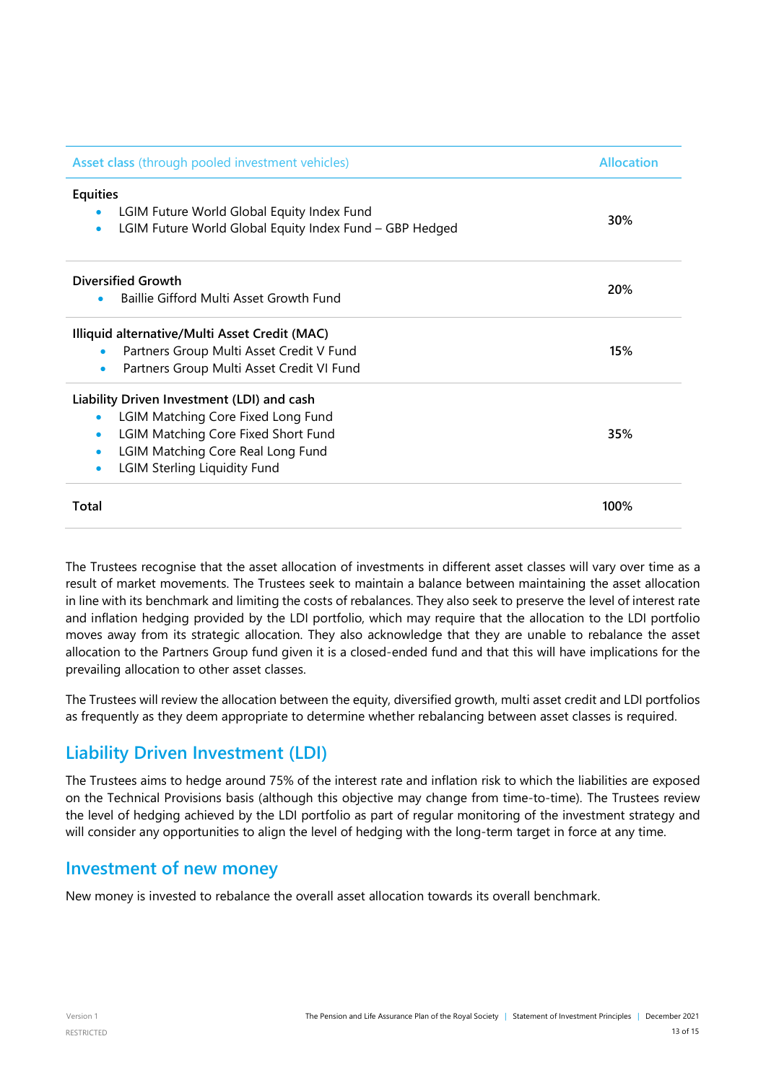| Asset class (through pooled investment vehicles)                     | <b>Allocation</b> |  |  |  |  |
|----------------------------------------------------------------------|-------------------|--|--|--|--|
| Equities                                                             |                   |  |  |  |  |
| LGIM Future World Global Equity Index Fund<br>$\bullet$              | 30%               |  |  |  |  |
| LGIM Future World Global Equity Index Fund - GBP Hedged<br>$\bullet$ |                   |  |  |  |  |
| <b>Diversified Growth</b>                                            |                   |  |  |  |  |
| Baillie Gifford Multi Asset Growth Fund                              | 20%               |  |  |  |  |
| Illiquid alternative/Multi Asset Credit (MAC)                        |                   |  |  |  |  |
| Partners Group Multi Asset Credit V Fund<br>$\bullet$                | 15%               |  |  |  |  |
| Partners Group Multi Asset Credit VI Fund<br>$\bullet$               |                   |  |  |  |  |
| Liability Driven Investment (LDI) and cash                           |                   |  |  |  |  |
| LGIM Matching Core Fixed Long Fund<br>$\bullet$                      |                   |  |  |  |  |
| <b>LGIM Matching Core Fixed Short Fund</b><br>$\bullet$              | 35%               |  |  |  |  |
| LGIM Matching Core Real Long Fund<br>$\bullet$                       |                   |  |  |  |  |
| <b>LGIM Sterling Liquidity Fund</b><br>$\bullet$                     |                   |  |  |  |  |
| Total                                                                | 100%              |  |  |  |  |

The Trustees recognise that the asset allocation of investments in different asset classes will vary over time as a result of market movements. The Trustees seek to maintain a balance between maintaining the asset allocation in line with its benchmark and limiting the costs of rebalances. They also seek to preserve the level of interest rate and inflation hedging provided by the LDI portfolio, which may require that the allocation to the LDI portfolio moves away from its strategic allocation. They also acknowledge that they are unable to rebalance the asset allocation to the Partners Group fund given it is a closed-ended fund and that this will have implications for the prevailing allocation to other asset classes.

The Trustees will review the allocation between the equity, diversified growth, multi asset credit and LDI portfolios as frequently as they deem appropriate to determine whether rebalancing between asset classes is required.

#### **Liability Driven Investment (LDI)**

The Trustees aims to hedge around 75% of the interest rate and inflation risk to which the liabilities are exposed on the Technical Provisions basis (although this objective may change from time-to-time). The Trustees review the level of hedging achieved by the LDI portfolio as part of regular monitoring of the investment strategy and will consider any opportunities to align the level of hedging with the long-term target in force at any time.

#### **Investment of new money**

New money is invested to rebalance the overall asset allocation towards its overall benchmark.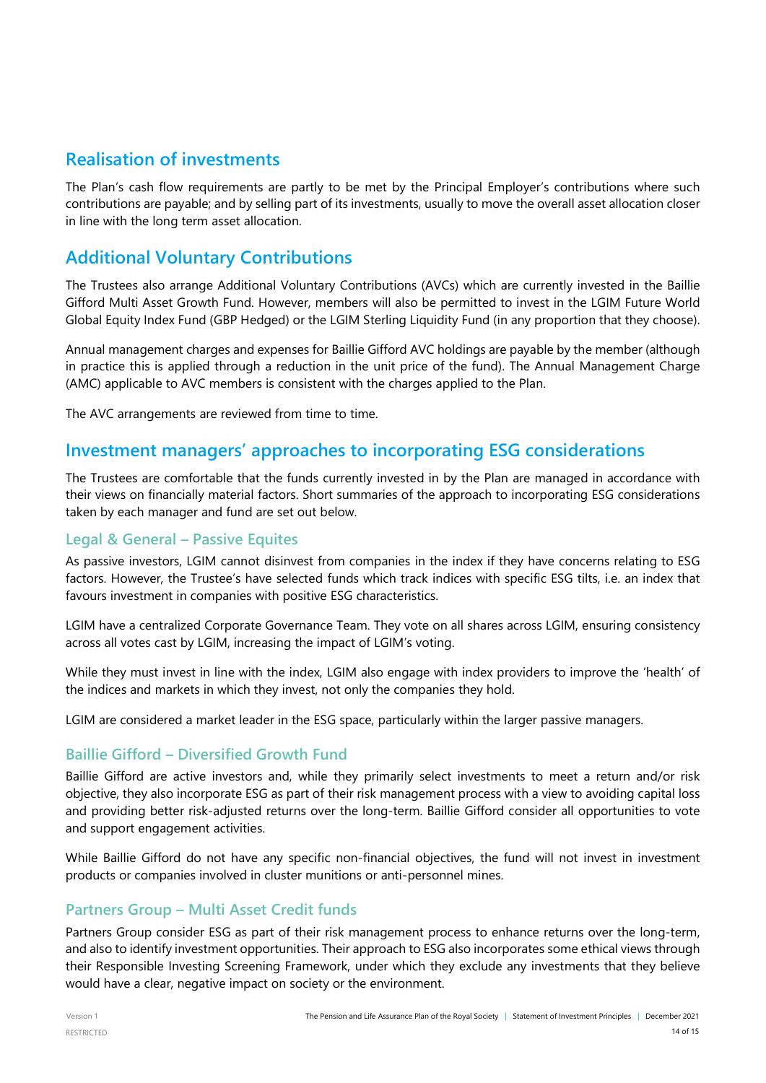#### **Realisation of investments**

The Plan's cash flow requirements are partly to be met by the Principal Employer's contributions where such contributions are payable; and by selling part of its investments, usually to move the overall asset allocation closer in line with the long term asset allocation.

### **Additional Voluntary Contributions**

The Trustees also arrange Additional Voluntary Contributions (AVCs) which are currently invested in the Baillie Gifford Multi Asset Growth Fund. However, members will also be permitted to invest in the LGIM Future World Global Equity Index Fund (GBP Hedged) or the LGIM Sterling Liquidity Fund (in any proportion that they choose).

Annual management charges and expenses for Baillie Gifford AVC holdings are payable by the member (although in practice this is applied through a reduction in the unit price of the fund). The Annual Management Charge (AMC) applicable to AVC members is consistent with the charges applied to the Plan.

The AVC arrangements are reviewed from time to time.

#### **Investment managers' approaches to incorporating ESG considerations**

The Trustees are comfortable that the funds currently invested in by the Plan are managed in accordance with their views on financially material factors. Short summaries of the approach to incorporating ESG considerations taken by each manager and fund are set out below.

#### **Legal & General – Passive Equites**

As passive investors, LGIM cannot disinvest from companies in the index if they have concerns relating to ESG factors. However, the Trustee's have selected funds which track indices with specific ESG tilts, i.e. an index that favours investment in companies with positive ESG characteristics.

LGIM have a centralized Corporate Governance Team. They vote on all shares across LGIM, ensuring consistency across all votes cast by LGIM, increasing the impact of LGIM's voting.

While they must invest in line with the index, LGIM also engage with index providers to improve the 'health' of the indices and markets in which they invest, not only the companies they hold.

LGIM are considered a market leader in the ESG space, particularly within the larger passive managers.

#### **Baillie Gifford – Diversified Growth Fund**

Baillie Gifford are active investors and, while they primarily select investments to meet a return and/or risk objective, they also incorporate ESG as part of their risk management process with a view to avoiding capital loss and providing better risk-adjusted returns over the long-term. Baillie Gifford consider all opportunities to vote and support engagement activities.

While Baillie Gifford do not have any specific non-financial objectives, the fund will not invest in investment products or companies involved in cluster munitions or anti-personnel mines.

#### **Partners Group – Multi Asset Credit funds**

Partners Group consider ESG as part of their risk management process to enhance returns over the long-term, and also to identify investment opportunities. Their approach to ESG also incorporates some ethical views through their Responsible Investing Screening Framework, under which they exclude any investments that they believe would have a clear, negative impact on society or the environment.